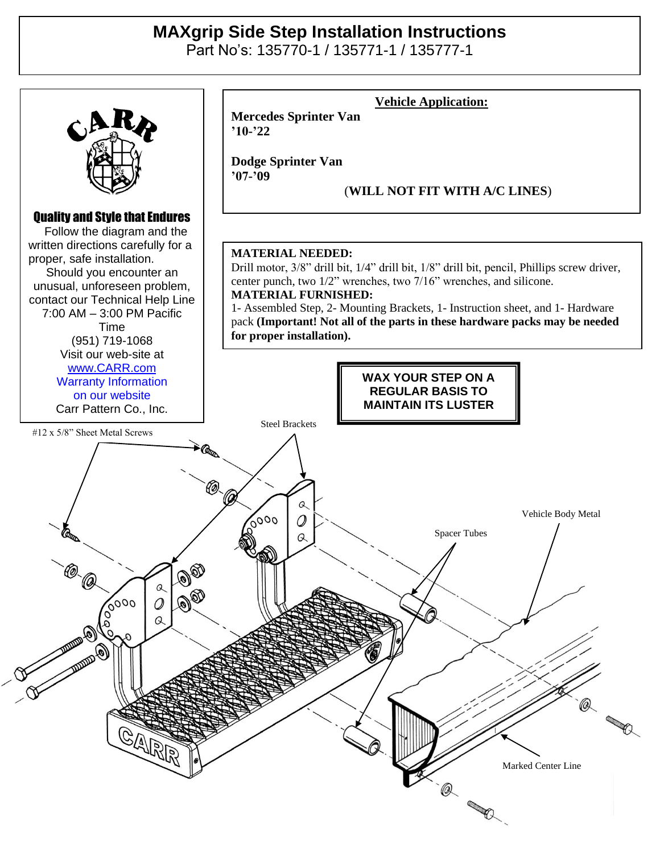## **MAXgrip Side Step Installation Instructions**

Part No's: 135770-1 / 135771-1 / 135777-1